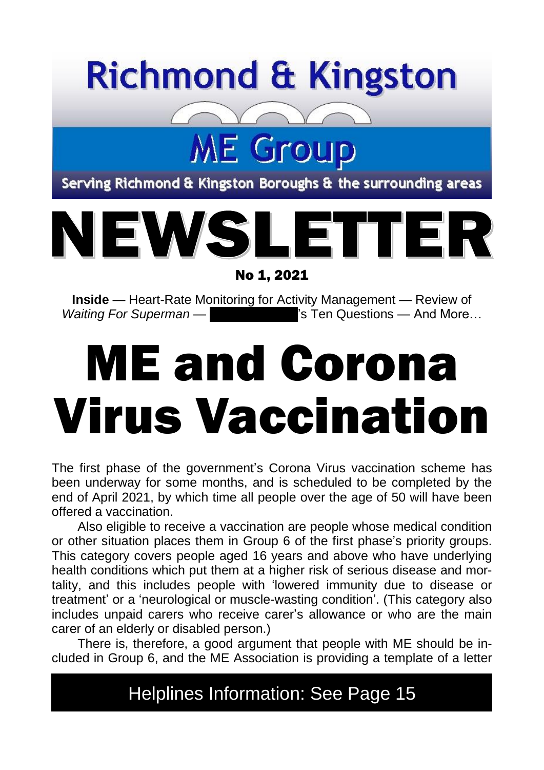## **Richmond & Kingston**

Serving Richmond & Kingston Boroughs & the surrounding areas

**ME Group** 



No 1, 2021

**Inside** — Heart-Rate Monitoring for Activity Management — Review of *Waiting For Superman* — **Mumic Access** and More… Mumming For Superman —  $\blacksquare$ 

# ME and Corona Virus Vaccination

The first phase of the government's Corona Virus vaccination scheme has been underway for some months, and is scheduled to be completed by the end of April 2021, by which time all people over the age of 50 will have been offered a vaccination.

Also eligible to receive a vaccination are people whose medical condition or other situation places them in Group 6 of the first phase's priority groups. This category covers people aged 16 years and above who have underlying health conditions which put them at a higher risk of serious disease and mortality, and this includes people with 'lowered immunity due to disease or treatment' or a 'neurological or muscle-wasting condition'. (This category also includes unpaid carers who receive carer's allowance or who are the main carer of an elderly or disabled person.)

There is, therefore, a good argument that people with ME should be included in Group 6, and the ME Association is providing a template of a letter

Helplines Information: See Page 15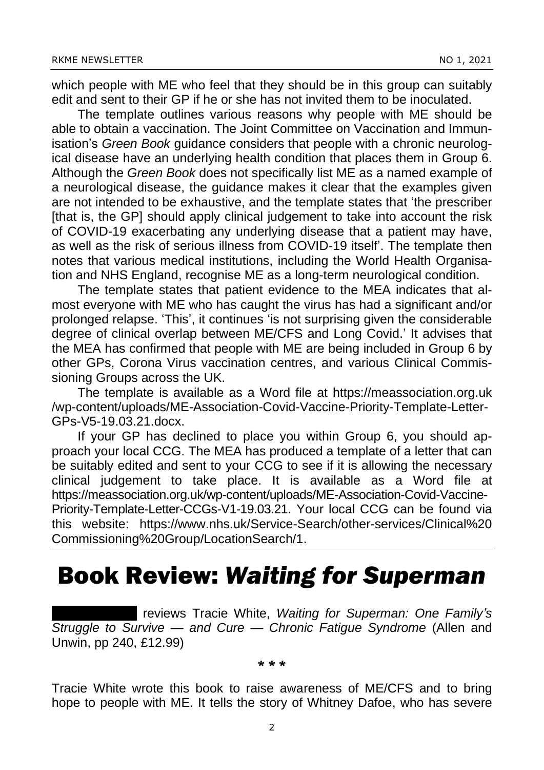which people with ME who feel that they should be in this group can suitably edit and sent to their GP if he or she has not invited them to be inoculated.

The template outlines various reasons why people with ME should be able to obtain a vaccination. The Joint Committee on Vaccination and Immunisation's *Green Book* guidance considers that people with a chronic neurological disease have an underlying health condition that places them in Group 6. Although the *Green Book* does not specifically list ME as a named example of a neurological disease, the guidance makes it clear that the examples given are not intended to be exhaustive, and the template states that 'the prescriber [that is, the GP] should apply clinical judgement to take into account the risk of COVID-19 exacerbating any underlying disease that a patient may have, as well as the risk of serious illness from COVID-19 itself'. The template then notes that various medical institutions, including the World Health Organisation and NHS England, recognise ME as a long-term neurological condition.

The template states that patient evidence to the MEA indicates that almost everyone with ME who has caught the virus has had a significant and/or prolonged relapse. 'This', it continues 'is not surprising given the considerable degree of clinical overlap between ME/CFS and Long Covid.' It advises that the MEA has confirmed that people with ME are being included in Group 6 by other GPs, Corona Virus vaccination centres, and various Clinical Commissioning Groups across the UK.

The template is available as a Word file at https://meassociation.org.uk /wp-content/uploads/ME-Association-Covid-Vaccine-Priority-Template-Letter-GPs-V5-19.03.21.docx.

If your GP has declined to place you within Group 6, you should approach your local CCG. The MEA has produced a template of a letter that can be suitably edited and sent to your CCG to see if it is allowing the necessary clinical judgement to take place. It is available as a Word file at https://meassociation.org.uk/wp-content/uploads/ME-Association-Covid-Vaccine-Priority-Template-Letter-CCGs-V1-19.03.21. Your local CCG can be found via this website: https://www.nhs.uk/Service-Search/other-services/Clinical%20 Commissioning%20Group/LocationSearch/1.

### Book Review: *Waiting for Superman*

**I** reviews Tracie White, *Waiting for Superman: One Family's Struggle to Survive — and Cure — Chronic Fatigue Syndrome* (Allen and Unwin, pp 240, £12.99)

#### \* \* \*

Tracie White wrote this book to raise awareness of ME/CFS and to bring hope to people with ME. It tells the story of Whitney Dafoe, who has severe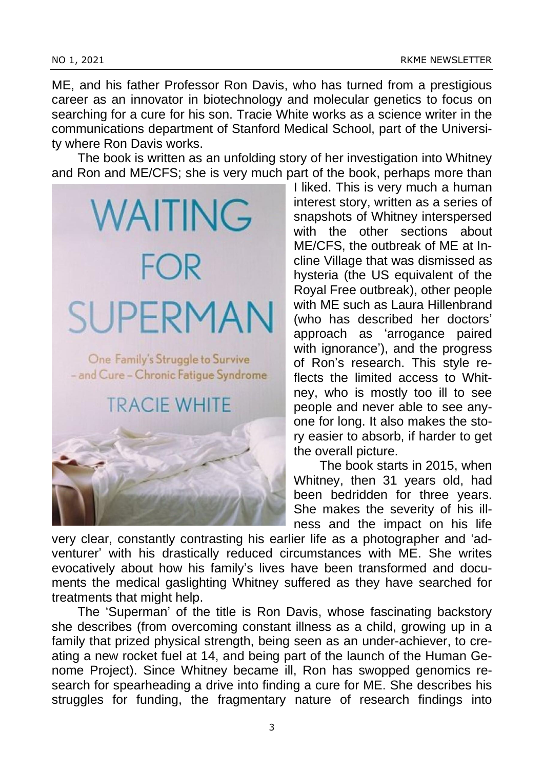ME, and his father Professor Ron Davis, who has turned from a prestigious career as an innovator in biotechnology and molecular genetics to focus on searching for a cure for his son. Tracie White works as a science writer in the communications department of Stanford Medical School, part of the University where Ron Davis works.

The book is written as an unfolding story of her investigation into Whitney and Ron and ME/CFS; she is very much part of the book, perhaps more than



I liked. This is very much a human interest story, written as a series of snapshots of Whitney interspersed with the other sections about ME/CFS, the outbreak of ME at Incline Village that was dismissed as hysteria (the US equivalent of the Royal Free outbreak), other people with ME such as Laura Hillenbrand (who has described her doctors' approach as 'arrogance paired with ignorance'), and the progress of Ron's research. This style reflects the limited access to Whitney, who is mostly too ill to see people and never able to see anyone for long. It also makes the story easier to absorb, if harder to get the overall picture.

The book starts in 2015, when Whitney, then 31 years old, had been bedridden for three years. She makes the severity of his illness and the impact on his life

very clear, constantly contrasting his earlier life as a photographer and 'adventurer' with his drastically reduced circumstances with ME. She writes evocatively about how his family's lives have been transformed and documents the medical gaslighting Whitney suffered as they have searched for treatments that might help.

The 'Superman' of the title is Ron Davis, whose fascinating backstory she describes (from overcoming constant illness as a child, growing up in a family that prized physical strength, being seen as an under-achiever, to creating a new rocket fuel at 14, and being part of the launch of the Human Genome Project). Since Whitney became ill, Ron has swopped genomics research for spearheading a drive into finding a cure for ME. She describes his struggles for funding, the fragmentary nature of research findings into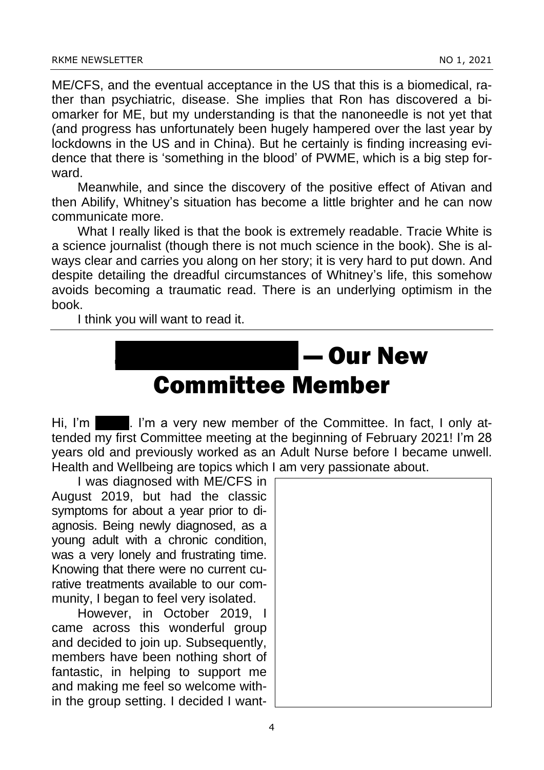ME/CFS, and the eventual acceptance in the US that this is a biomedical, rather than psychiatric, disease. She implies that Ron has discovered a biomarker for ME, but my understanding is that the nanoneedle is not yet that (and progress has unfortunately been hugely hampered over the last year by lockdowns in the US and in China). But he certainly is finding increasing evidence that there is 'something in the blood' of PWME, which is a big step forward.

Meanwhile, and since the discovery of the positive effect of Ativan and then Abilify, Whitney's situation has become a little brighter and he can now communicate more.

What I really liked is that the book is extremely readable. Tracie White is a science journalist (though there is not much science in the book). She is always clear and carries you along on her story; it is very hard to put down. And despite detailing the dreadful circumstances of Whitney's life, this somehow avoids becoming a traumatic read. There is an underlying optimism in the book.

I think you will want to read it.

### l — Our New Committee Member

Hi, I'm  $\blacksquare$ . I'm a very new member of the Committee. In fact, I only attended my first Committee meeting at the beginning of February 2021! I'm 28 years old and previously worked as an Adult Nurse before I became unwell. Health and Wellbeing are topics which I am very passionate about.

I was diagnosed with ME/CFS in August 2019, but had the classic symptoms for about a year prior to diagnosis. Being newly diagnosed, as a young adult with a chronic condition, was a very lonely and frustrating time. Knowing that there were no current curative treatments available to our community, I began to feel very isolated.

However, in October 2019, I came across this wonderful group and decided to join up. Subsequently, members have been nothing short of fantastic, in helping to support me and making me feel so welcome within the group setting. I decided I want-

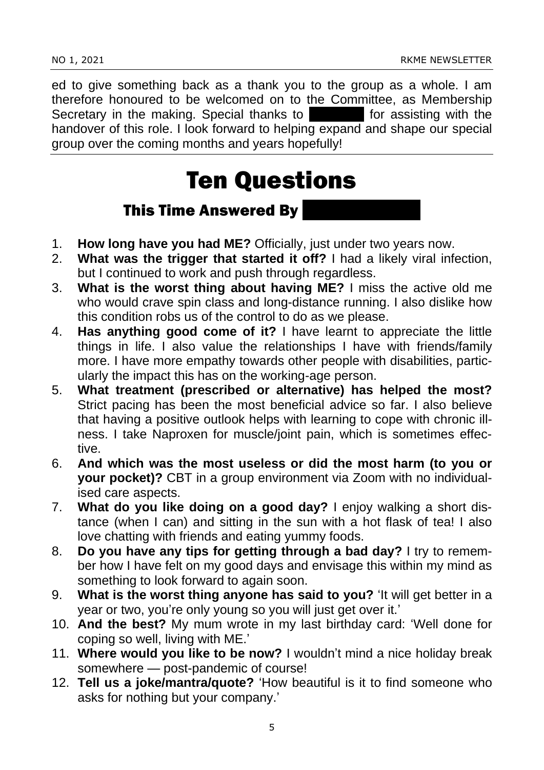ed to give something back as a thank you to the group as a whole. I am therefore honoured to be welcomed on to the Committee, as Membership Secretary in the making. Special thanks to Secretary in the making. Special thanks to handover of this role. I look forward to helping expand and shape our special group over the coming months and years hopefully!

### Ten Questions

#### **This Time Answered By**

- 1. **How long have you had ME?** Officially, just under two years now.
- 2. **What was the trigger that started it off?** I had a likely viral infection, but I continued to work and push through regardless.
- 3. **What is the worst thing about having ME?** I miss the active old me who would crave spin class and long-distance running. I also dislike how this condition robs us of the control to do as we please.
- 4. **Has anything good come of it?** I have learnt to appreciate the little things in life. I also value the relationships I have with friends/family more. I have more empathy towards other people with disabilities, particularly the impact this has on the working-age person.
- 5. **What treatment (prescribed or alternative) has helped the most?** Strict pacing has been the most beneficial advice so far. I also believe that having a positive outlook helps with learning to cope with chronic illness. I take Naproxen for muscle/joint pain, which is sometimes effective.
- 6. **And which was the most useless or did the most harm (to you or your pocket)?** CBT in a group environment via Zoom with no individualised care aspects.
- 7. **What do you like doing on a good day?** I enjoy walking a short distance (when I can) and sitting in the sun with a hot flask of tea! I also love chatting with friends and eating yummy foods.
- 8. **Do you have any tips for getting through a bad day?** I try to remember how I have felt on my good days and envisage this within my mind as something to look forward to again soon.
- 9. **What is the worst thing anyone has said to you?** 'It will get better in a year or two, you're only young so you will just get over it.'
- 10. **And the best?** My mum wrote in my last birthday card: 'Well done for coping so well, living with ME.'
- 11. **Where would you like to be now?** I wouldn't mind a nice holiday break somewhere — post-pandemic of course!
- 12. **Tell us a joke/mantra/quote?** 'How beautiful is it to find someone who asks for nothing but your company.'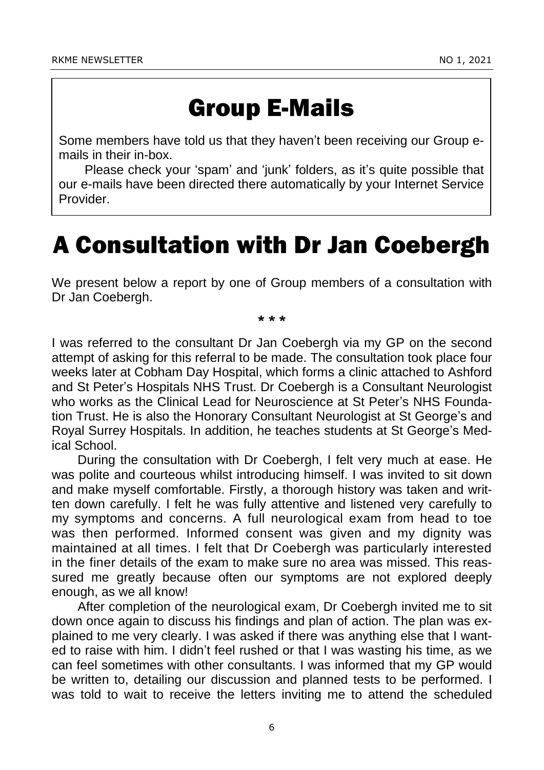### Group E-Mails

Some members have told us that they haven't been receiving our Group emails in their in-box.

Please check your 'spam' and 'junk' folders, as it's quite possible that our e-mails have been directed there automatically by your Internet Service Provider.

### A Consultation with Dr Jan Coebergh

We present below a report by one of Group members of a consultation with Dr Jan Coebergh.

\* \* \*

I was referred to the consultant Dr Jan Coebergh via my GP on the second attempt of asking for this referral to be made. The consultation took place four weeks later at Cobham Day Hospital, which forms a clinic attached to Ashford and St Peter's Hospitals NHS Trust. Dr Coebergh is a Consultant Neurologist who works as the Clinical Lead for Neuroscience at St Peter's NHS Foundation Trust. He is also the Honorary Consultant Neurologist at St George's and Royal Surrey Hospitals. In addition, he teaches students at St George's Medical School.

During the consultation with Dr Coebergh, I felt very much at ease. He was polite and courteous whilst introducing himself. I was invited to sit down and make myself comfortable. Firstly, a thorough history was taken and written down carefully. I felt he was fully attentive and listened very carefully to my symptoms and concerns. A full neurological exam from head to toe was then performed. Informed consent was given and my dignity was maintained at all times. I felt that Dr Coebergh was particularly interested in the finer details of the exam to make sure no area was missed. This reassured me greatly because often our symptoms are not explored deeply enough, as we all know!

After completion of the neurological exam, Dr Coebergh invited me to sit down once again to discuss his findings and plan of action. The plan was explained to me very clearly. I was asked if there was anything else that I wanted to raise with him. I didn't feel rushed or that I was wasting his time, as we can feel sometimes with other consultants. I was informed that my GP would be written to, detailing our discussion and planned tests to be performed. I was told to wait to receive the letters inviting me to attend the scheduled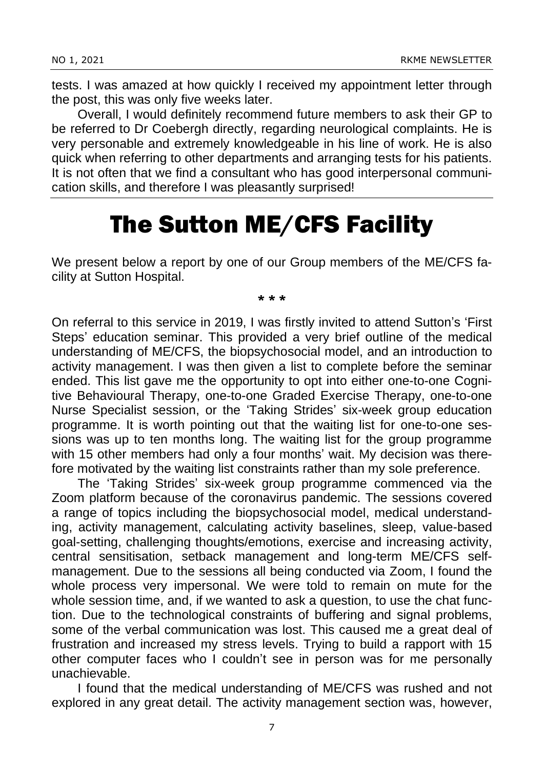tests. I was amazed at how quickly I received my appointment letter through the post, this was only five weeks later.

Overall, I would definitely recommend future members to ask their GP to be referred to Dr Coebergh directly, regarding neurological complaints. He is very personable and extremely knowledgeable in his line of work. He is also quick when referring to other departments and arranging tests for his patients. It is not often that we find a consultant who has good interpersonal communication skills, and therefore I was pleasantly surprised!

### The Sutton ME/CFS Facility

We present below a report by one of our Group members of the ME/CFS facility at Sutton Hospital.

#### \* \* \*

On referral to this service in 2019, I was firstly invited to attend Sutton's 'First Steps' education seminar. This provided a very brief outline of the medical understanding of ME/CFS, the biopsychosocial model, and an introduction to activity management. I was then given a list to complete before the seminar ended. This list gave me the opportunity to opt into either one-to-one Cognitive Behavioural Therapy, one-to-one Graded Exercise Therapy, one-to-one Nurse Specialist session, or the 'Taking Strides' six-week group education programme. It is worth pointing out that the waiting list for one-to-one sessions was up to ten months long. The waiting list for the group programme with 15 other members had only a four months' wait. My decision was therefore motivated by the waiting list constraints rather than my sole preference.

The 'Taking Strides' six-week group programme commenced via the Zoom platform because of the coronavirus pandemic. The sessions covered a range of topics including the biopsychosocial model, medical understanding, activity management, calculating activity baselines, sleep, value-based goal-setting, challenging thoughts/emotions, exercise and increasing activity, central sensitisation, setback management and long-term ME/CFS selfmanagement. Due to the sessions all being conducted via Zoom, I found the whole process very impersonal. We were told to remain on mute for the whole session time, and, if we wanted to ask a question, to use the chat function. Due to the technological constraints of buffering and signal problems, some of the verbal communication was lost. This caused me a great deal of frustration and increased my stress levels. Trying to build a rapport with 15 other computer faces who I couldn't see in person was for me personally unachievable.

I found that the medical understanding of ME/CFS was rushed and not explored in any great detail. The activity management section was, however,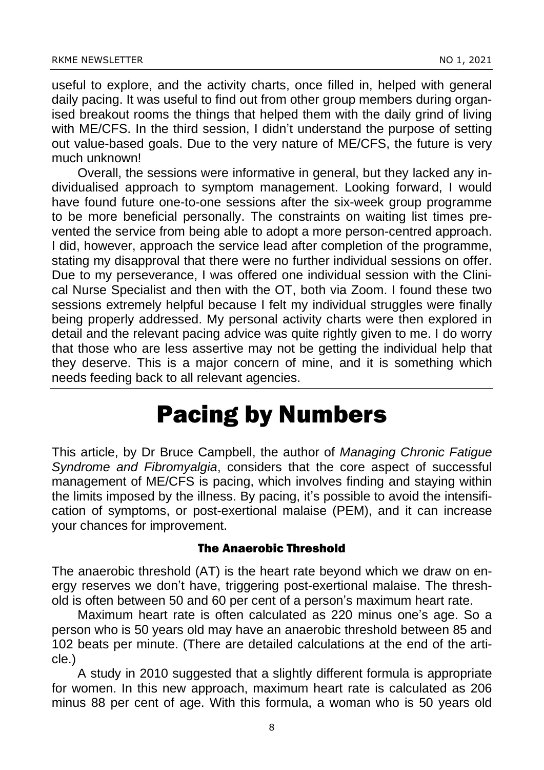useful to explore, and the activity charts, once filled in, helped with general daily pacing. It was useful to find out from other group members during organised breakout rooms the things that helped them with the daily grind of living with ME/CFS. In the third session, I didn't understand the purpose of setting out value-based goals. Due to the very nature of ME/CFS, the future is very much unknown!

Overall, the sessions were informative in general, but they lacked any individualised approach to symptom management. Looking forward, I would have found future one-to-one sessions after the six-week group programme to be more beneficial personally. The constraints on waiting list times prevented the service from being able to adopt a more person-centred approach. I did, however, approach the service lead after completion of the programme, stating my disapproval that there were no further individual sessions on offer. Due to my perseverance, I was offered one individual session with the Clinical Nurse Specialist and then with the OT, both via Zoom. I found these two sessions extremely helpful because I felt my individual struggles were finally being properly addressed. My personal activity charts were then explored in detail and the relevant pacing advice was quite rightly given to me. I do worry that those who are less assertive may not be getting the individual help that they deserve. This is a major concern of mine, and it is something which needs feeding back to all relevant agencies.

### Pacing by Numbers

This article, by Dr Bruce Campbell, the author of *Managing Chronic Fatigue Syndrome and Fibromyalgia*, considers that the core aspect of successful management of ME/CFS is pacing, which involves finding and staying within the limits imposed by the illness. By pacing, it's possible to avoid the intensification of symptoms, or post-exertional malaise (PEM), and it can increase your chances for improvement.

#### The Anaerobic Threshold

The anaerobic threshold (AT) is the heart rate beyond which we draw on energy reserves we don't have, triggering post-exertional malaise. The threshold is often between 50 and 60 per cent of a person's maximum heart rate.

Maximum heart rate is often calculated as 220 minus one's age. So a person who is 50 years old may have an anaerobic threshold between 85 and 102 beats per minute. (There are detailed calculations at the end of the article.)

A study in 2010 suggested that a slightly different formula is appropriate for women. In this new approach, maximum heart rate is calculated as 206 minus 88 per cent of age. With this formula, a woman who is 50 years old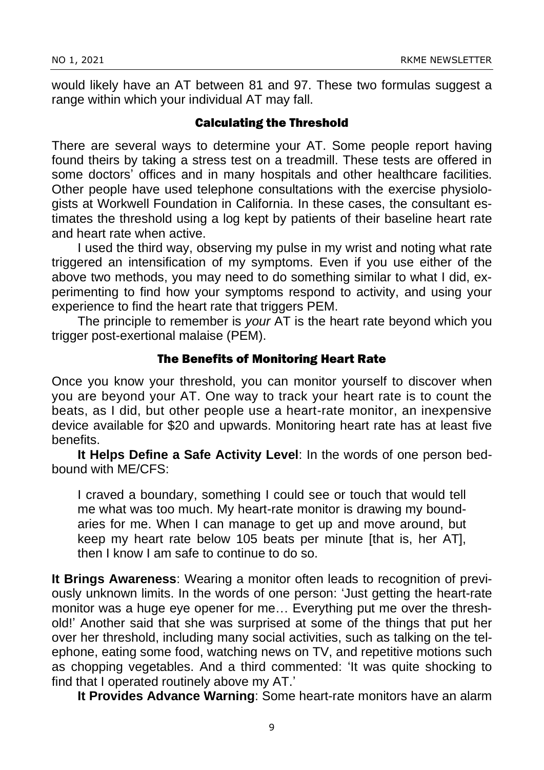would likely have an AT between 81 and 97. These two formulas suggest a range within which your individual AT may fall.

#### Calculating the Threshold

There are several ways to determine your AT. Some people report having found theirs by taking a stress test on a treadmill. These tests are offered in some doctors' offices and in many hospitals and other healthcare facilities. Other people have used telephone consultations with the exercise physiologists at Workwell Foundation in California. In these cases, the consultant estimates the threshold using a log kept by patients of their baseline heart rate and heart rate when active.

I used the third way, observing my pulse in my wrist and noting what rate triggered an intensification of my symptoms. Even if you use either of the above two methods, you may need to do something similar to what I did, experimenting to find how your symptoms respond to activity, and using your experience to find the heart rate that triggers PEM.

The principle to remember is *your* AT is the heart rate beyond which you trigger post-exertional malaise (PEM).

#### The Benefits of Monitoring Heart Rate

Once you know your threshold, you can monitor yourself to discover when you are beyond your AT. One way to track your heart rate is to count the beats, as I did, but other people use a heart-rate monitor, an inexpensive device available for \$20 and upwards. Monitoring heart rate has at least five benefits.

**It Helps Define a Safe Activity Level**: In the words of one person bedbound with ME/CFS:

I craved a boundary, something I could see or touch that would tell me what was too much. My heart-rate monitor is drawing my boundaries for me. When I can manage to get up and move around, but keep my heart rate below 105 beats per minute [that is, her AT], then I know I am safe to continue to do so.

**It Brings Awareness**: Wearing a monitor often leads to recognition of previously unknown limits. In the words of one person: 'Just getting the heart-rate monitor was a huge eye opener for me… Everything put me over the threshold!' Another said that she was surprised at some of the things that put her over her threshold, including many social activities, such as talking on the telephone, eating some food, watching news on TV, and repetitive motions such as chopping vegetables. And a third commented: 'It was quite shocking to find that I operated routinely above my AT.'

**It Provides Advance Warning**: Some heart-rate monitors have an alarm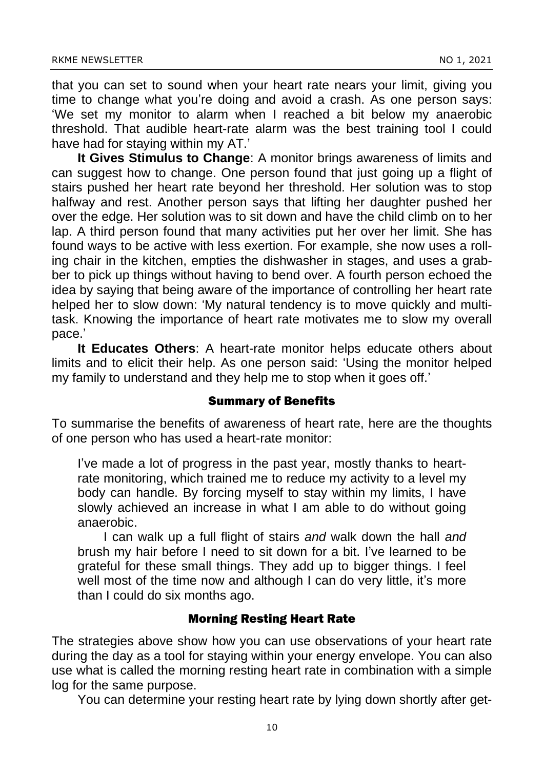that you can set to sound when your heart rate nears your limit, giving you time to change what you're doing and avoid a crash. As one person says: 'We set my monitor to alarm when I reached a bit below my anaerobic threshold. That audible heart-rate alarm was the best training tool I could have had for staying within my AT.'

**It Gives Stimulus to Change**: A monitor brings awareness of limits and can suggest how to change. One person found that just going up a flight of stairs pushed her heart rate beyond her threshold. Her solution was to stop halfway and rest. Another person says that lifting her daughter pushed her over the edge. Her solution was to sit down and have the child climb on to her lap. A third person found that many activities put her over her limit. She has found ways to be active with less exertion. For example, she now uses a rolling chair in the kitchen, empties the dishwasher in stages, and uses a grabber to pick up things without having to bend over. A fourth person echoed the idea by saying that being aware of the importance of controlling her heart rate helped her to slow down: 'My natural tendency is to move quickly and multitask. Knowing the importance of heart rate motivates me to slow my overall pace.'

**It Educates Others**: A heart-rate monitor helps educate others about limits and to elicit their help. As one person said: 'Using the monitor helped my family to understand and they help me to stop when it goes off.'

#### Summary of Benefits

To summarise the benefits of awareness of heart rate, here are the thoughts of one person who has used a heart-rate monitor:

I've made a lot of progress in the past year, mostly thanks to heartrate monitoring, which trained me to reduce my activity to a level my body can handle. By forcing myself to stay within my limits, I have slowly achieved an increase in what I am able to do without going anaerobic.

I can walk up a full flight of stairs *and* walk down the hall *and* brush my hair before I need to sit down for a bit. I've learned to be grateful for these small things. They add up to bigger things. I feel well most of the time now and although I can do very little, it's more than I could do six months ago.

#### Morning Resting Heart Rate

The strategies above show how you can use observations of your heart rate during the day as a tool for staying within your energy envelope. You can also use what is called the morning resting heart rate in combination with a simple log for the same purpose.

You can determine your resting heart rate by lying down shortly after get-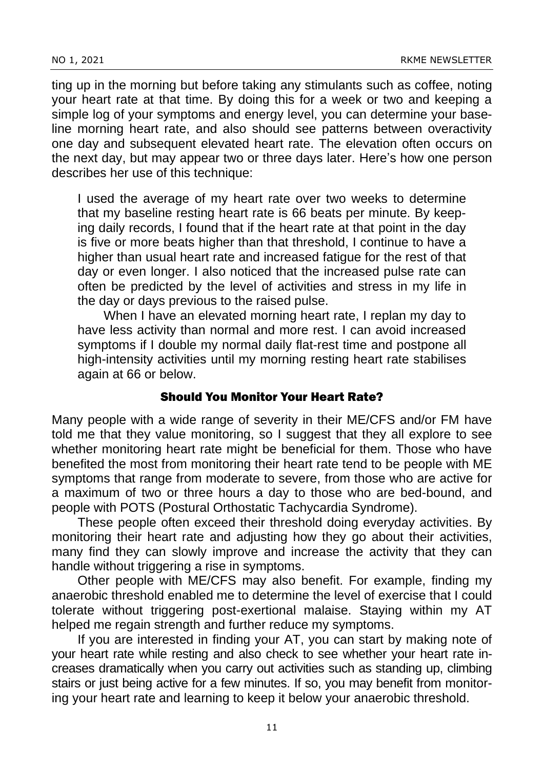ting up in the morning but before taking any stimulants such as coffee, noting your heart rate at that time. By doing this for a week or two and keeping a simple log of your symptoms and energy level, you can determine your baseline morning heart rate, and also should see patterns between overactivity one day and subsequent elevated heart rate. The elevation often occurs on the next day, but may appear two or three days later. Here's how one person describes her use of this technique:

I used the average of my heart rate over two weeks to determine that my baseline resting heart rate is 66 beats per minute. By keeping daily records, I found that if the heart rate at that point in the day is five or more beats higher than that threshold, I continue to have a higher than usual heart rate and increased fatigue for the rest of that day or even longer. I also noticed that the increased pulse rate can often be predicted by the level of activities and stress in my life in the day or days previous to the raised pulse.

When I have an elevated morning heart rate, I replan my day to have less activity than normal and more rest. I can avoid increased symptoms if I double my normal daily flat-rest time and postpone all high-intensity activities until my morning resting heart rate stabilises again at 66 or below.

#### Should You Monitor Your Heart Rate?

Many people with a wide range of severity in their ME/CFS and/or FM have told me that they value monitoring, so I suggest that they all explore to see whether monitoring heart rate might be beneficial for them. Those who have benefited the most from monitoring their heart rate tend to be people with ME symptoms that range from moderate to severe, from those who are active for a maximum of two or three hours a day to those who are bed-bound, and people with POTS (Postural Orthostatic Tachycardia Syndrome).

These people often exceed their threshold doing everyday activities. By monitoring their heart rate and adjusting how they go about their activities, many find they can slowly improve and increase the activity that they can handle without triggering a rise in symptoms.

Other people with ME/CFS may also benefit. For example, finding my anaerobic threshold enabled me to determine the level of exercise that I could tolerate without triggering post-exertional malaise. Staying within my AT helped me regain strength and further reduce my symptoms.

If you are interested in finding your AT, you can start by making note of your heart rate while resting and also check to see whether your heart rate increases dramatically when you carry out activities such as standing up, climbing stairs or just being active for a few minutes. If so, you may benefit from monitoring your heart rate and learning to keep it below your anaerobic threshold.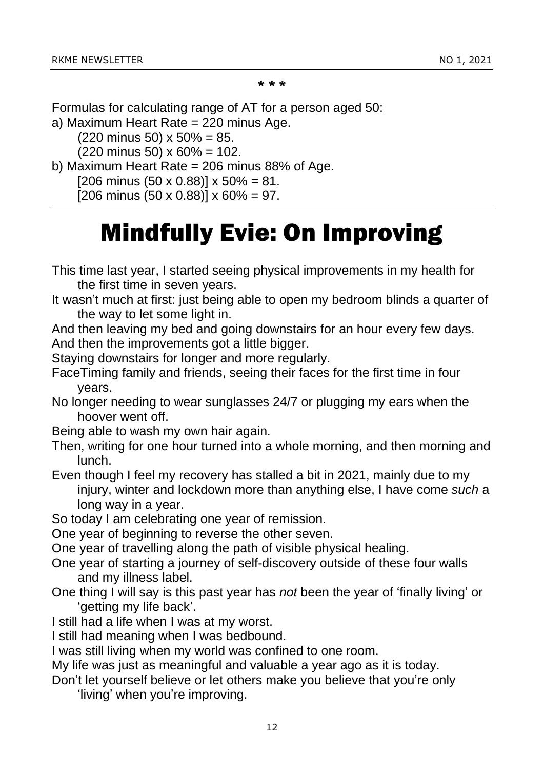\* \* \*

Formulas for calculating range of AT for a person aged 50:

a) Maximum Heart Rate = 220 minus Age.

 $(220 \text{ minus } 50) \times 50\% = 85.$ 

 $(220 \text{ minus } 50) \times 60\% = 102.$ 

b) Maximum Heart Rate = 206 minus 88% of Age.

 $[206 \text{ minus } (50 \times 0.88)] \times 50\% = 81.$ 

[206 minus (50 x 0.88)]  $\times$  60% = 97.

### Mindfully Evie: On Improving

This time last year, I started seeing physical improvements in my health for the first time in seven years.

It wasn't much at first: just being able to open my bedroom blinds a quarter of the way to let some light in.

And then leaving my bed and going downstairs for an hour every few days. And then the improvements got a little bigger.

Staying downstairs for longer and more regularly.

FaceTiming family and friends, seeing their faces for the first time in four years.

No longer needing to wear sunglasses 24/7 or plugging my ears when the hoover went off.

Being able to wash my own hair again.

Then, writing for one hour turned into a whole morning, and then morning and lunch.

Even though I feel my recovery has stalled a bit in 2021, mainly due to my injury, winter and lockdown more than anything else, I have come *such* a long way in a year.

So today I am celebrating one year of remission.

One year of beginning to reverse the other seven.

One year of travelling along the path of visible physical healing.

- One year of starting a journey of self-discovery outside of these four walls and my illness label.
- One thing I will say is this past year has *not* been the year of 'finally living' or 'getting my life back'.
- I still had a life when I was at my worst.

I still had meaning when I was bedbound.

I was still living when my world was confined to one room.

My life was just as meaningful and valuable a year ago as it is today.

Don't let yourself believe or let others make you believe that you're only

'living' when you're improving.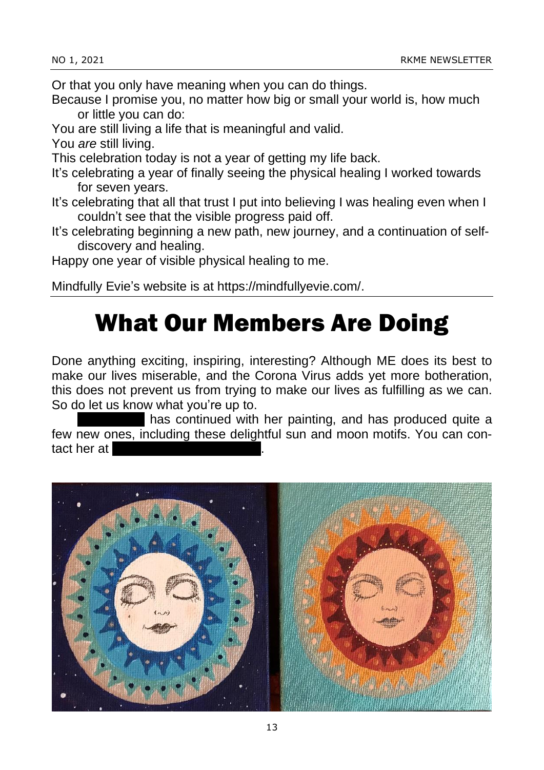Or that you only have meaning when you can do things.

- Because I promise you, no matter how big or small your world is, how much or little you can do:
- You are still living a life that is meaningful and valid.

You *are* still living.

- This celebration today is not a year of getting my life back.
- It's celebrating a year of finally seeing the physical healing I worked towards for seven years.
- It's celebrating that all that trust I put into believing I was healing even when I couldn't see that the visible progress paid off.
- It's celebrating beginning a new path, new journey, and a continuation of selfdiscovery and healing.

Happy one year of visible physical healing to me.

Mindfully Evie's website is at https://mindfullyevie.com/.

### What Our Members Are Doing

Done anything exciting, inspiring, interesting? Although ME does its best to make our lives miserable, and the Corona Virus adds yet more botheration, this does not prevent us from trying to make our lives as fulfilling as we can. So do let us know what you're up to.

has continued with her painting, and has produced quite a few new ones, including these delightful sun and moon motifs. You can contact her at

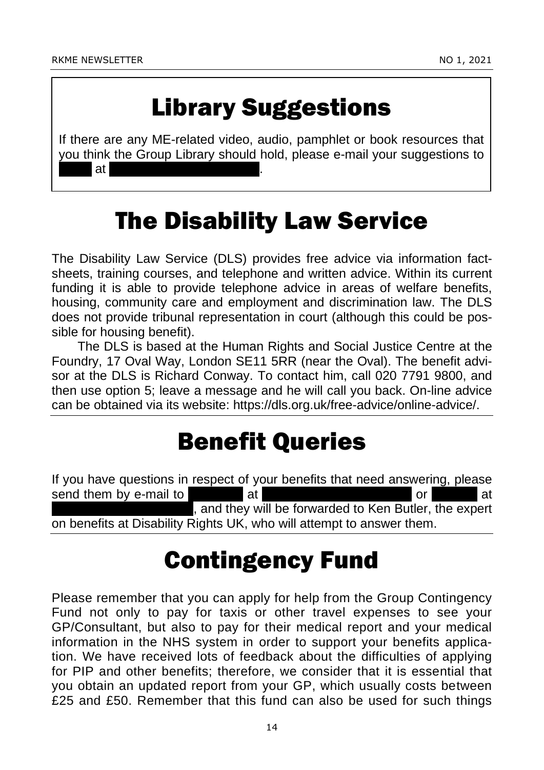### Library Suggestions

If there are any ME-related video, audio, pamphlet or book resources that you think the Group Library should hold, please e-mail your suggestions to Laura at lauracousins7@gmail.com.

### The Disability Law Service

The Disability Law Service (DLS) provides free advice via information factsheets, training courses, and telephone and written advice. Within its current funding it is able to provide telephone advice in areas of welfare benefits, housing, community care and employment and discrimination law. The DLS does not provide tribunal representation in court (although this could be possible for housing benefit).

The DLS is based at the Human Rights and Social Justice Centre at the Foundry, 17 Oval Way, London SE11 5RR (near the Oval). The benefit advisor at the DLS is Richard Conway. To contact him, call 020 7791 9800, and then use option 5; leave a message and he will call you back. On-line advice can be obtained via its website: https://dls.org.uk/free-advice/online-advice/.

### Benefit Queries

If you have questions in respect of your benefits that need answering, please send them by e-mail to Fernando at fermando at fermion at fermion at fermion at fermion at  $\alpha$ , and they will be forwarded to Ken Butler, the expert on benefits at Disability Rights UK, who will attempt to answer them.

### Contingency Fund

Please remember that you can apply for help from the Group Contingency Fund not only to pay for taxis or other travel expenses to see your GP/Consultant, but also to pay for their medical report and your medical information in the NHS system in order to support your benefits application. We have received lots of feedback about the difficulties of applying for PIP and other benefits; therefore, we consider that it is essential that you obtain an updated report from your GP, which usually costs between £25 and £50. Remember that this fund can also be used for such things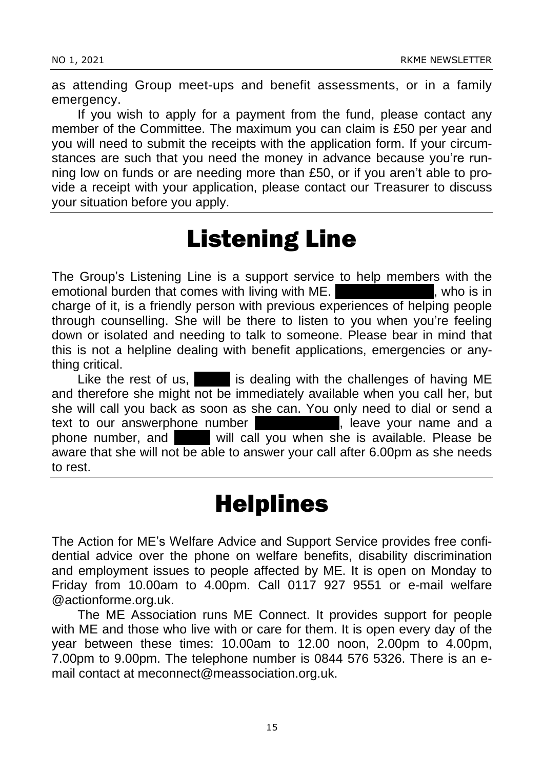as attending Group meet-ups and benefit assessments, or in a family emergency.

If you wish to apply for a payment from the fund, please contact any member of the Committee. The maximum you can claim is £50 per year and you will need to submit the receipts with the application form. If your circumstances are such that you need the money in advance because you're running low on funds or are needing more than £50, or if you aren't able to provide a receipt with your application, please contact our Treasurer to discuss your situation before you apply.

### Listening Line

The Group's Listening Line is a support service to help members with the emotional burden that comes with living with ME. The Robertson Robertson, who is in charge of it, is a friendly person with previous experiences of helping people through counselling. She will be there to listen to you when you're feeling down or isolated and needing to talk to someone. Please bear in mind that this is not a helpline dealing with benefit applications, emergencies or anything critical.

Like the rest of us, Elais dealing with the challenges of having ME and therefore she might not be immediately available when you call her, but she will call you back as soon as she can. You only need to dial or send a text to our answerphone number **1998**, leave your name and a phone number, and **Elain will call you when she is available. Please be** aware that she will not be able to answer your call after 6.00pm as she needs to rest.

### **Helplines**

The Action for ME's Welfare Advice and Support Service provides free confidential advice over the phone on welfare benefits, disability discrimination and employment issues to people affected by ME. It is open on Monday to Friday from 10.00am to 4.00pm. Call 0117 927 9551 or e-mail welfare @actionforme.org.uk.

The ME Association runs ME Connect. It provides support for people with ME and those who live with or care for them. It is open every day of the year between these times: 10.00am to 12.00 noon, 2.00pm to 4.00pm, 7.00pm to 9.00pm. The telephone number is 0844 576 5326. There is an email contact at meconnect@meassociation.org.uk.